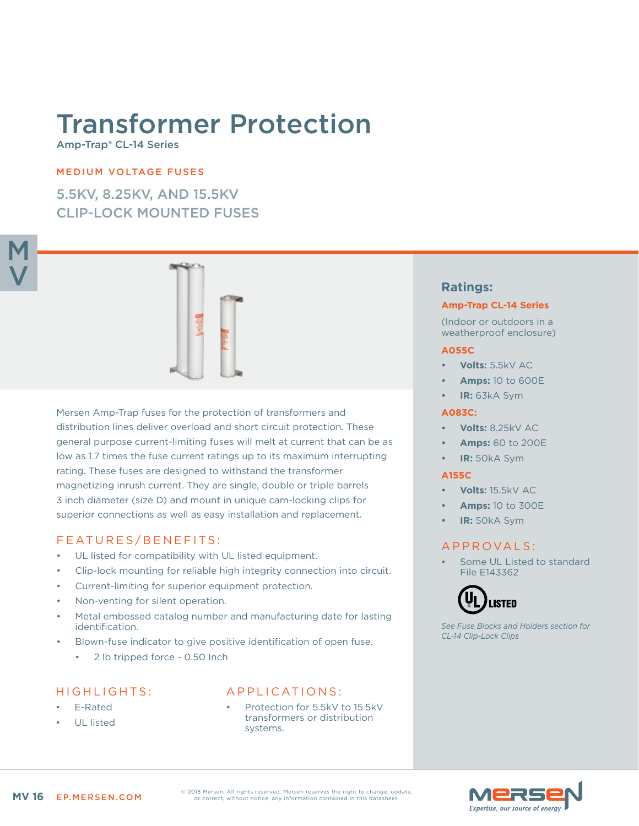# Transformer Protection

Amp-Trap® CL-14 Series

## MEDIUM VOLTAGE FUSES

5.5KV, 8.25KV, AND 15.5KV CLIP-LOCK MOUNTED FUSES



Mersen Amp-Trap fuses for the protection of transformers and distribution lines deliver overload and short circuit protection. These general purpose current-limiting fuses will melt at current that can be as low as 1.7 times the fuse current ratings up to its maximum interrupting rating. These fuses are designed to withstand the transformer magnetizing inrush current. They are single, double or triple barrels 3 inch diameter (size D) and mount in unique cam-locking clips for superior connections as well as easy installation and replacement.

# FEATURES/BENEFITS:

- UL listed for compatibility with UL listed equipment.
- Clip-lock mounting for reliable high integrity connection into circuit.
- Current-limiting for superior equipment protection.
- Non-venting for silent operation.
- Metal embossed catalog number and manufacturing date for lasting identification.
- Blown-fuse indicator to give positive identification of open fuse.
	- 2 lb tripped force 0.50 Inch

## HIGHLIGHTS:

- E-Rated
- UL listed

# APPLICATIONS:

Protection for 5.5kV to 15.5kV transformers or distribution systems.

# **Ratings:**

#### **Amp-Trap CL-14 Series**

(Indoor or outdoors in a weatherproof enclosure)

#### **A055C**

- **• Volts:** 5.5kV AC
- **• Amps:** 10 to 600E
- **• IR:** 63kA Sym

### **A083C:**

- **• Volts:** 8.25kV AC
- **• Amps:** 60 to 200E
- **• IR:** 50kA Sym

#### **A155C**

- **• Volts:** 15.5kV AC
- **• Amps:** 10 to 300E
- **• IR:** 50kA Sym

# APPROVALS:

Some UL Listed to standard File E143362



*See Fuse Blocks and Holders section for CL-14 Clip-Lock Clips*